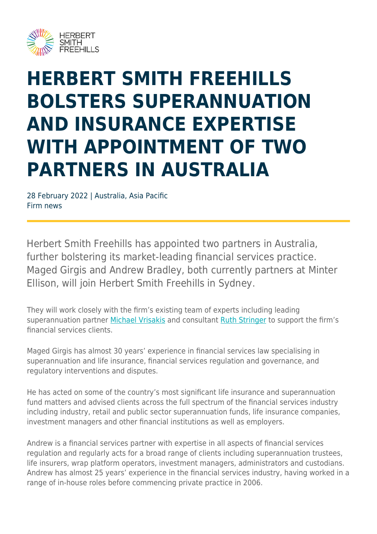

## **HERBERT SMITH FREEHILLS BOLSTERS SUPERANNUATION AND INSURANCE EXPERTISE WITH APPOINTMENT OF TWO PARTNERS IN AUSTRALIA**

28 February 2022 | Australia, Asia Pacific Firm news

Herbert Smith Freehills has appointed two partners in Australia, further bolstering its market-leading financial services practice. Maged Girgis and Andrew Bradley, both currently partners at Minter Ellison, will join Herbert Smith Freehills in Sydney.

They will work closely with the firm's existing team of experts including leading superannuation partner [Michael Vrisakis](https://www.herbertsmithfreehills.com/our-people/michael-vrisakis) and consultant [Ruth Stringer](https://www.herbertsmithfreehills.com/our-people/ruth-stringer) to support the firm's financial services clients.

Maged Girgis has almost 30 years' experience in financial services law specialising in superannuation and life insurance, financial services regulation and governance, and regulatory interventions and disputes.

He has acted on some of the country's most significant life insurance and superannuation fund matters and advised clients across the full spectrum of the financial services industry including industry, retail and public sector superannuation funds, life insurance companies, investment managers and other financial institutions as well as employers.

Andrew is a financial services partner with expertise in all aspects of financial services regulation and regularly acts for a broad range of clients including superannuation trustees, life insurers, wrap platform operators, investment managers, administrators and custodians. Andrew has almost 25 years' experience in the financial services industry, having worked in a range of in-house roles before commencing private practice in 2006.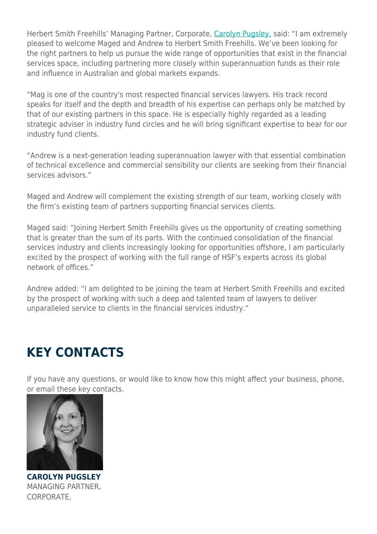Herbert Smith Freehills' Managing Partner, Corporate, [Carolyn Pugsley,](https://www.herbertsmithfreehills.com/our-people/carolyn-pugsley) said: "I am extremely pleased to welcome Maged and Andrew to Herbert Smith Freehills. We've been looking for the right partners to help us pursue the wide range of opportunities that exist in the financial services space, including partnering more closely within superannuation funds as their role and influence in Australian and global markets expands.

"Mag is one of the country's most respected financial services lawyers. His track record speaks for itself and the depth and breadth of his expertise can perhaps only be matched by that of our existing partners in this space. He is especially highly regarded as a leading strategic adviser in industry fund circles and he will bring significant expertise to bear for our industry fund clients.

"Andrew is a next-generation leading superannuation lawyer with that essential combination of technical excellence and commercial sensibility our clients are seeking from their financial services advisors."

Maged and Andrew will complement the existing strength of our team, working closely with the firm's existing team of partners supporting financial services clients.

Maged said: "Joining Herbert Smith Freehills gives us the opportunity of creating something that is greater than the sum of its parts. With the continued consolidation of the financial services industry and clients increasingly looking for opportunities offshore, I am particularly excited by the prospect of working with the full range of HSF's experts across its global network of offices."

Andrew added: "I am delighted to be joining the team at Herbert Smith Freehills and excited by the prospect of working with such a deep and talented team of lawyers to deliver unparalleled service to clients in the financial services industry."

## **KEY CONTACTS**

If you have any questions, or would like to know how this might affect your business, phone, or email these key contacts.



**CAROLYN PUGSLEY** MANAGING PARTNER, CORPORATE,